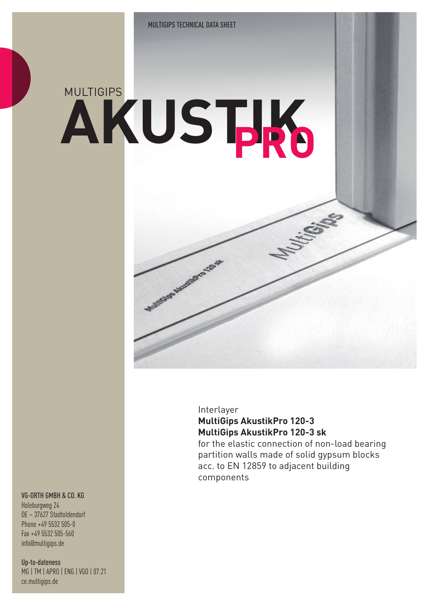# **AKUSTIK** MULTIGIPS **PRO**

**FOOTES AND REPORTS TOP** 

### Interlayer **MultiGips AkustikPro 120-3 MultiGips AkustikPro 120-3 sk**

for the elastic connection of non-load bearing partition walls made of solid gypsum blocks acc. to EN 12859 to adjacent building components

#### VG-ORTH GMBH & CO. KG

Holeburgweg 24 DE – 37627 Stadtoldendorf Phone +49 5532 505-0 Fax +49 5532 505-560 info@multigips.de

Up-to-dateness MG | TM | APRO | ENG | VGO | 07.21 ce.multigips.de